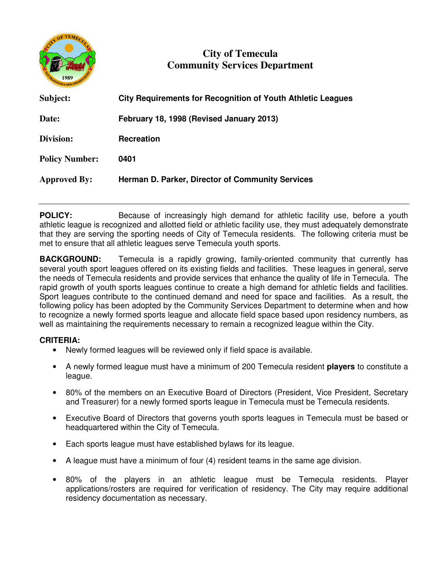

## **City of Temecula Community Services Department**

| Subject:              | <b>City Requirements for Recognition of Youth Athletic Leagues</b> |
|-----------------------|--------------------------------------------------------------------|
| Date:                 | February 18, 1998 (Revised January 2013)                           |
| Division:             | <b>Recreation</b>                                                  |
| <b>Policy Number:</b> | 0401                                                               |
| <b>Approved By:</b>   | Herman D. Parker, Director of Community Services                   |
|                       |                                                                    |

**POLICY:** Because of increasingly high demand for athletic facility use, before a youth athletic league is recognized and allotted field or athletic facility use, they must adequately demonstrate that they are serving the sporting needs of City of Temecula residents. The following criteria must be met to ensure that all athletic leagues serve Temecula youth sports.

**BACKGROUND:** Temecula is a rapidly growing, family-oriented community that currently has several youth sport leagues offered on its existing fields and facilities. These leagues in general, serve the needs of Temecula residents and provide services that enhance the quality of life in Temecula. The rapid growth of youth sports leagues continue to create a high demand for athletic fields and facilities. Sport leagues contribute to the continued demand and need for space and facilities. As a result, the following policy has been adopted by the Community Services Department to determine when and how to recognize a newly formed sports league and allocate field space based upon residency numbers, as well as maintaining the requirements necessary to remain a recognized league within the City.

## **CRITERIA:**

- Newly formed leagues will be reviewed only if field space is available.
- A newly formed league must have a minimum of 200 Temecula resident **players** to constitute a league.
- 80% of the members on an Executive Board of Directors (President, Vice President, Secretary and Treasurer) for a newly formed sports league in Temecula must be Temecula residents.
- Executive Board of Directors that governs youth sports leagues in Temecula must be based or headquartered within the City of Temecula.
- Each sports league must have established bylaws for its league.
- A league must have a minimum of four (4) resident teams in the same age division.
- 80% of the players in an athletic league must be Temecula residents. Player applications/rosters are required for verification of residency. The City may require additional residency documentation as necessary.